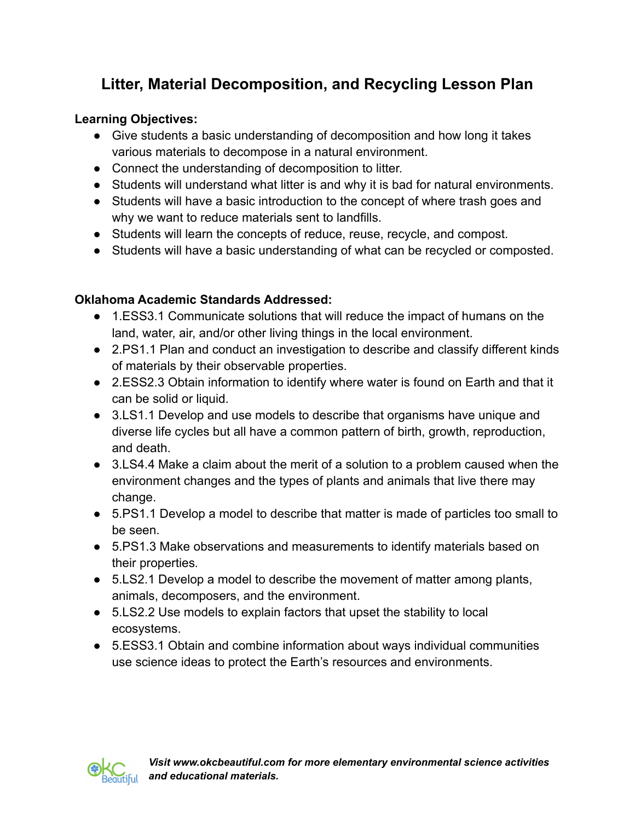# **Litter, Material Decomposition, and Recycling Lesson Plan**

# **Learning Objectives:**

- Give students a basic understanding of decomposition and how long it takes various materials to decompose in a natural environment.
- Connect the understanding of decomposition to litter.
- Students will understand what litter is and why it is bad for natural environments.
- Students will have a basic introduction to the concept of where trash goes and why we want to reduce materials sent to landfills.
- Students will learn the concepts of reduce, reuse, recycle, and compost.
- Students will have a basic understanding of what can be recycled or composted.

# **Oklahoma Academic Standards Addressed:**

- 1.ESS3.1 Communicate solutions that will reduce the impact of humans on the land, water, air, and/or other living things in the local environment.
- 2.PS1.1 Plan and conduct an investigation to describe and classify different kinds of materials by their observable properties.
- 2.ESS2.3 Obtain information to identify where water is found on Earth and that it can be solid or liquid.
- 3.LS1.1 Develop and use models to describe that organisms have unique and diverse life cycles but all have a common pattern of birth, growth, reproduction, and death.
- 3.LS4.4 Make a claim about the merit of a solution to a problem caused when the environment changes and the types of plants and animals that live there may change.
- 5.PS1.1 Develop a model to describe that matter is made of particles too small to be seen.
- 5.PS1.3 Make observations and measurements to identify materials based on their properties*.*
- 5.LS2.1 Develop a model to describe the movement of matter among plants, animals, decomposers, and the environment.
- 5.LS2.2 Use models to explain factors that upset the stability to local ecosystems.
- 5.ESS3.1 Obtain and combine information about ways individual communities use science ideas to protect the Earth's resources and environments.

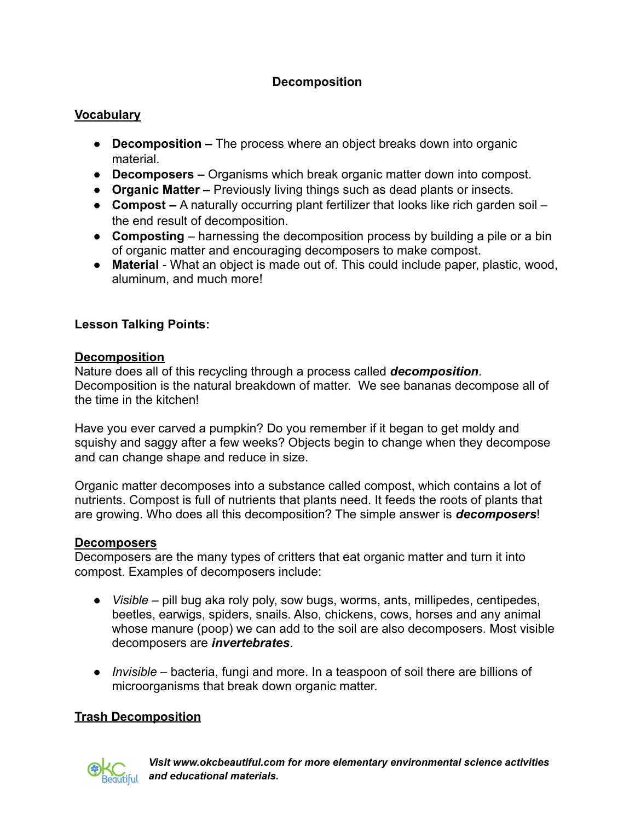# **Decomposition**

#### **Vocabulary**

- **Decomposition –** The process where an object breaks down into organic material.
- **● Decomposers –** Organisms which break organic matter down into compost.
- **Organic Matter –** Previously living things such as dead plants or insects.
- **Compost –** A naturally occurring plant fertilizer that looks like rich garden soil the end result of decomposition.
- **Composting** harnessing the decomposition process by building a pile or a bin of organic matter and encouraging decomposers to make compost.
- **Material** What an object is made out of. This could include paper, plastic, wood, aluminum, and much more!

### **Lesson Talking Points:**

#### **Decomposition**

Nature does all of this recycling through a process called *decomposition*. Decomposition is the natural breakdown of matter. We see bananas decompose all of the time in the kitchen!

Have you ever carved a pumpkin? Do you remember if it began to get moldy and squishy and saggy after a few weeks? Objects begin to change when they decompose and can change shape and reduce in size.

Organic matter decomposes into a substance called compost, which contains a lot of nutrients. Compost is full of nutrients that plants need. It feeds the roots of plants that are growing. Who does all this decomposition? The simple answer is *decomposers*!

#### **Decomposers**

Decomposers are the many types of critters that eat organic matter and turn it into compost. Examples of decomposers include:

- *Visible* pill bug aka roly poly, sow bugs, worms, ants, millipedes, centipedes, beetles, earwigs, spiders, snails. Also, chickens, cows, horses and any animal whose manure (poop) we can add to the soil are also decomposers. Most visible decomposers are *invertebrates*.
- *Invisible* bacteria, fungi and more. In a teaspoon of soil there are billions of microorganisms that break down organic matter.

### **Trash Decomposition**



*Visit www.okcbeautiful.com for more elementary environmental science activities and educational materials.*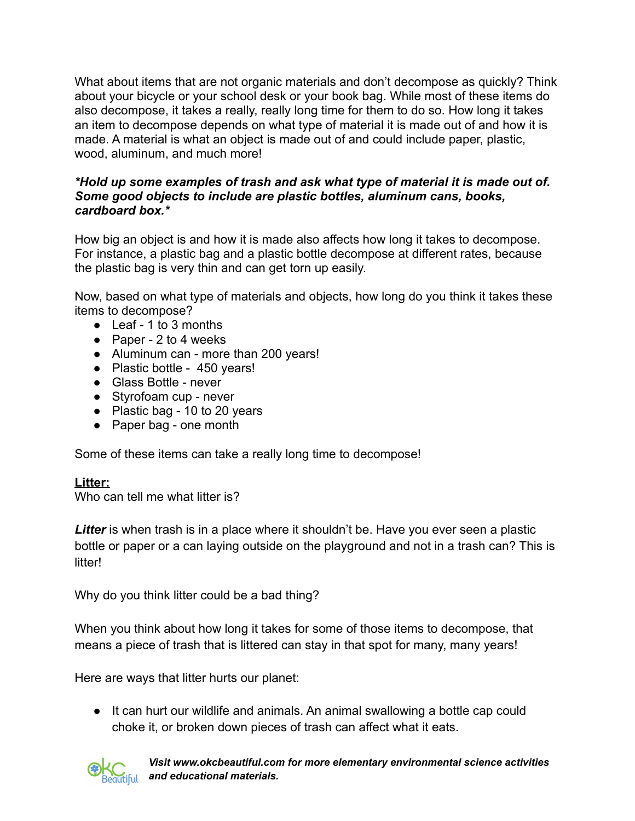What about items that are not organic materials and don't decompose as quickly? Think about your bicycle or your school desk or your book bag. While most of these items do also decompose, it takes a really, really long time for them to do so. How long it takes an item to decompose depends on what type of material it is made out of and how it is made. A material is what an object is made out of and could include paper, plastic, wood, aluminum, and much more!

#### *\*Hold up some examples of trash and ask what type of material it is made out of. Some good objects to include are plastic bottles, aluminum cans, books, cardboard box.\**

How big an object is and how it is made also affects how long it takes to decompose. For instance, a plastic bag and a plastic bottle decompose at different rates, because the plastic bag is very thin and can get torn up easily.

Now, based on what type of materials and objects, how long do you think it takes these items to decompose?

- Leaf 1 to 3 months
- Paper 2 to 4 weeks
- Aluminum can more than 200 years!
- Plastic bottle 450 years!
- Glass Bottle never
- Styrofoam cup never
- Plastic bag 10 to 20 years
- Paper bag one month

Some of these items can take a really long time to decompose!

### **Litter:**

Who can tell me what litter is?

Litter is when trash is in a place where it shouldn't be. Have you ever seen a plastic bottle or paper or a can laying outside on the playground and not in a trash can? This is litter!

Why do you think litter could be a bad thing?

When you think about how long it takes for some of those items to decompose, that means a piece of trash that is littered can stay in that spot for many, many years!

Here are ways that litter hurts our planet:

● It can hurt our wildlife and animals. An animal swallowing a bottle cap could choke it, or broken down pieces of trash can affect what it eats.



*Visit www.okcbeautiful.com for more elementary environmental science activities and educational materials.*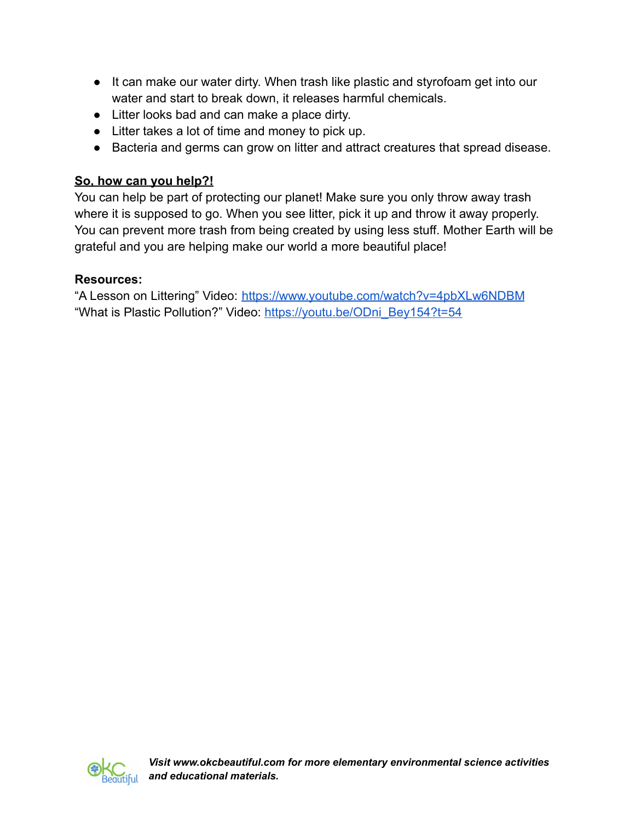- It can make our water dirty. When trash like plastic and styrofoam get into our water and start to break down, it releases harmful chemicals.
- Litter looks bad and can make a place dirty.
- Litter takes a lot of time and money to pick up.
- Bacteria and germs can grow on litter and attract creatures that spread disease.

# **So, how can you help?!**

You can help be part of protecting our planet! Make sure you only throw away trash where it is supposed to go. When you see litter, pick it up and throw it away properly. You can prevent more trash from being created by using less stuff. Mother Earth will be grateful and you are helping make our world a more beautiful place!

# **Resources:**

"A Lesson on Littering" Video: <https://www.youtube.com/watch?v=4pbXLw6NDBM> "What is Plastic Pollution?" Video: [https://youtu.be/ODni\\_Bey154?t=54](https://youtu.be/ODni_Bey154?t=54)

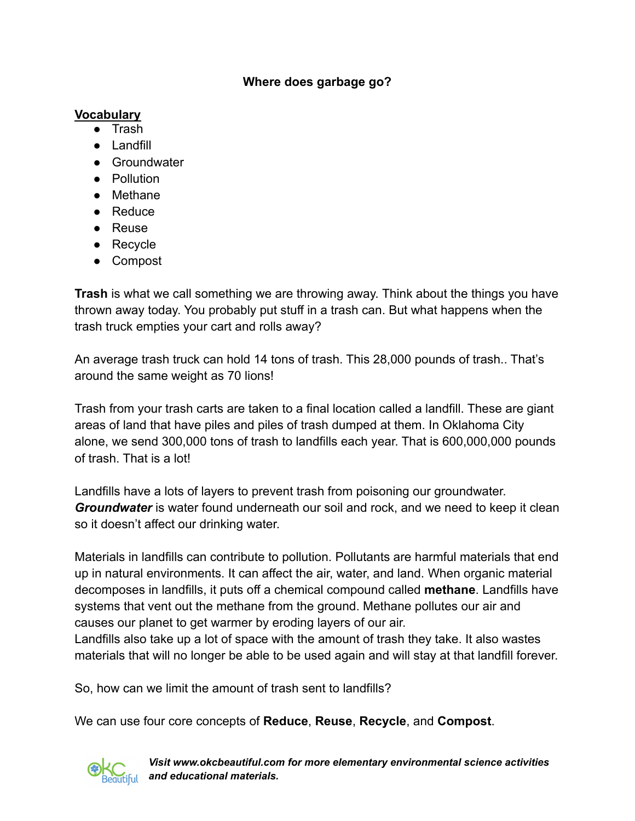#### **Where does garbage go?**

## **Vocabulary**

- Trash
- Landfill
- Groundwater
- Pollution
- Methane
- Reduce
- Reuse
- Recycle
- Compost

**Trash** is what we call something we are throwing away. Think about the things you have thrown away today. You probably put stuff in a trash can. But what happens when the trash truck empties your cart and rolls away?

An average trash truck can hold 14 tons of trash. This 28,000 pounds of trash.. That's around the same weight as 70 lions!

Trash from your trash carts are taken to a final location called a landfill. These are giant areas of land that have piles and piles of trash dumped at them. In Oklahoma City alone, we send 300,000 tons of trash to landfills each year. That is 600,000,000 pounds of trash. That is a lot!

Landfills have a lots of layers to prevent trash from poisoning our groundwater. *Groundwater* is water found underneath our soil and rock, and we need to keep it clean so it doesn't affect our drinking water.

Materials in landfills can contribute to pollution. Pollutants are harmful materials that end up in natural environments. It can affect the air, water, and land. When organic material decomposes in landfills, it puts off a chemical compound called **methane**. Landfills have systems that vent out the methane from the ground. Methane pollutes our air and causes our planet to get warmer by eroding layers of our air.

Landfills also take up a lot of space with the amount of trash they take. It also wastes materials that will no longer be able to be used again and will stay at that landfill forever.

So, how can we limit the amount of trash sent to landfills?

We can use four core concepts of **Reduce**, **Reuse**, **Recycle**, and **Compost**.



*Visit www.okcbeautiful.com for more elementary environmental science activities and educational materials.*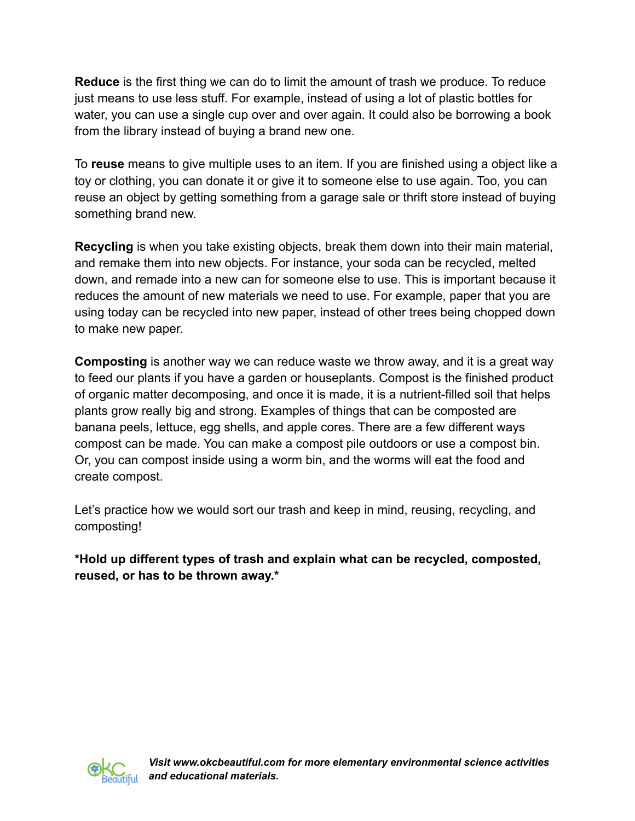**Reduce** is the first thing we can do to limit the amount of trash we produce. To reduce just means to use less stuff. For example, instead of using a lot of plastic bottles for water, you can use a single cup over and over again. It could also be borrowing a book from the library instead of buying a brand new one.

To **reuse** means to give multiple uses to an item. If you are finished using a object like a toy or clothing, you can donate it or give it to someone else to use again. Too, you can reuse an object by getting something from a garage sale or thrift store instead of buying something brand new.

**Recycling** is when you take existing objects, break them down into their main material, and remake them into new objects. For instance, your soda can be recycled, melted down, and remade into a new can for someone else to use. This is important because it reduces the amount of new materials we need to use. For example, paper that you are using today can be recycled into new paper, instead of other trees being chopped down to make new paper.

**Composting** is another way we can reduce waste we throw away, and it is a great way to feed our plants if you have a garden or houseplants. Compost is the finished product of organic matter decomposing, and once it is made, it is a nutrient-filled soil that helps plants grow really big and strong. Examples of things that can be composted are banana peels, lettuce, egg shells, and apple cores. There are a few different ways compost can be made. You can make a compost pile outdoors or use a compost bin. Or, you can compost inside using a worm bin, and the worms will eat the food and create compost.

Let's practice how we would sort our trash and keep in mind, reusing, recycling, and composting!

**\*Hold up different types of trash and explain what can be recycled, composted, reused, or has to be thrown away.\***